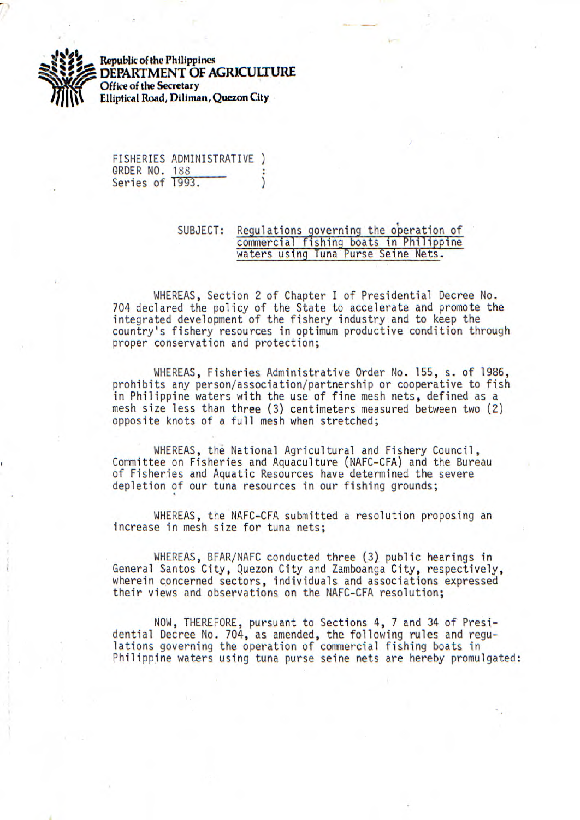

**Republic of the Philippines DEPARTMENT OF** *AGRICULTURE*  **Office of the Secretary Elliptical Road, Diliman, Quezon City** 

FISHERIES ADMINISTRATIVE ) ORDER NO. 188<br>Series of 1993.

## SUBJECT: Regulations governing the operation of commercial fishing boats in Philippine waters using Tuna Purse Seine Nets.

WHEREAS, Section 2 of Chapter I of Presidential Decree No. 704 declared the policy of the State to accelerate and promote the integrated development of the fishery industry and to keep the country's fishery resources in optimum productive condition through proper conservation and protection;

WHEREAS, Fisheries Administrative Order No. 155, s. of 1986, prohibits any person/association/partnership or cooperative to fish in Philippine waters with the use of fine mesh nets, defined as a mesh size less than three (3) centimeters measured between two (2) opposite knots of a full mesh when stretched;

WHEREAS, the National Agricultural and Fishery Council, Committee on Fisheries and Aquaculture (NAFC-CFA) and the Bureau of Fisheries and Aquatic Resources have determined the severe depletion of our tuna resources in our fishing grounds;

WHEREAS, the NAFC-CFA submitted a resolution proposing an increase in mesh size for tuna nets;

WHEREAS, BFAR/NAFC conducted three (3) public hearings in General Santos City, Quezon City and Zamboanga City, respectively, wherein concerned sectors, individuals and associations expressed their views and observations on the NAFC-CFA resolution;

NOW, THEREFORE, pursuant to Sections 4, 7 and 34 of Presidential Decree No. 704, as amended, the following rules and regulations governing the operation of commercial fishing boats in Philippine waters using tuna purse seine nets are hereby promulgated: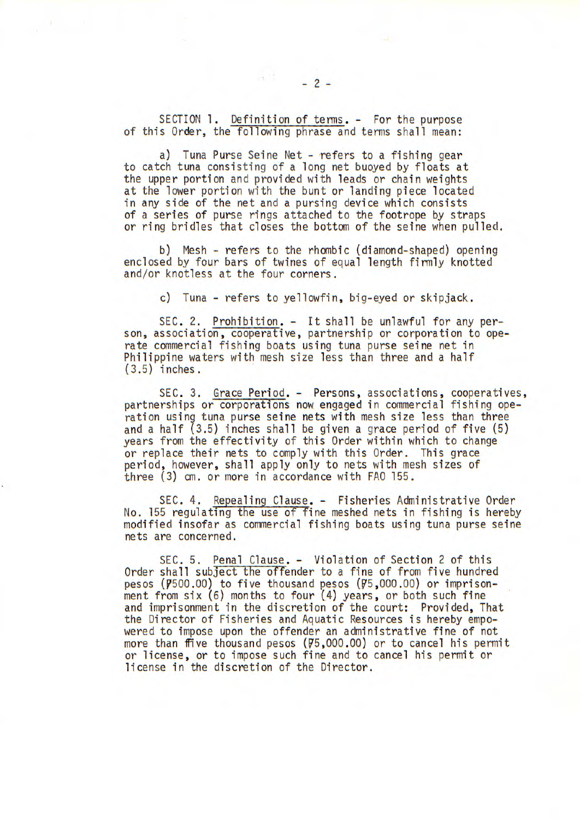SECTION 1. Definition of terms. - For the purpose of this Order, the following phrase and terms shall mean:

a) Tuna Purse Seine Net - refers to a fishing gear to catch tuna consisting of a long net buoyed by floats at the upper portion and provided with leads or chain weights at the lower portion with the bunt or landing piece located in any side of the net and a pursing device which consists of a series of purse rings attached to the footrope by straps or ring bridles that closes the bottom of the seine when pulled.

b) Mesh - refers to the rhombic (diamond-shaped) opening enclosed by four bars of twines of equal length firmly knotted and/or knotless at the four corners.

c) Tuna - refers to yellowfin, big-eyed or skipjack.

SEC. 2. Prohibition. - It shall be unlawful for any person, association, cooperative, partnership or corporation to operate commercial fishing boats using tuna purse seine net in Philippine waters with mesh size less than three and a half (3.5) inches.

SEC. 3. Grace Period. - Persons, associations, cooperatives, partnerships or corporations now engaged in commercial fishing operation using tuna purse seine nets with mesh size less than three and a half  $(3.5)$  inches shall be given a grace period of five  $(5)$ years from the effectivity of this Order within which to change or replace their nets to comply with this Order. This grace period, however, shall apply only to nets with mesh sizes of three (3) cm. or more in accordance with FAO 155.

SEC. 4. Repealing Clause. - Fisheries Administrative Order No. 155 regulating the use of fine meshed nets in fishing is hereby modified insofar as commercial fishing boats using tuna purse seine nets are concerned.

SEC. 5. Penal Clause. - Violation of Section 2 of this Order shall subject the offender to a fine of from five hundred pesos ( $\overline{P}$ 500.00) to five thousand pesos ( $\overline{P}$ 5,000.00) or imprisonment from six (6) months to four (4) years, or both such fine and imprisonment in the discretion of the court: Provided, That the Director of Fisheries and Aquatic Resources is hereby empowered to impose upon the offender an administrative fine of not more than ffive thousand pesos (75,000.00) or to cancel his permit or license, or to impose such fine and to cancel his permit or license in the discretion of the Director.